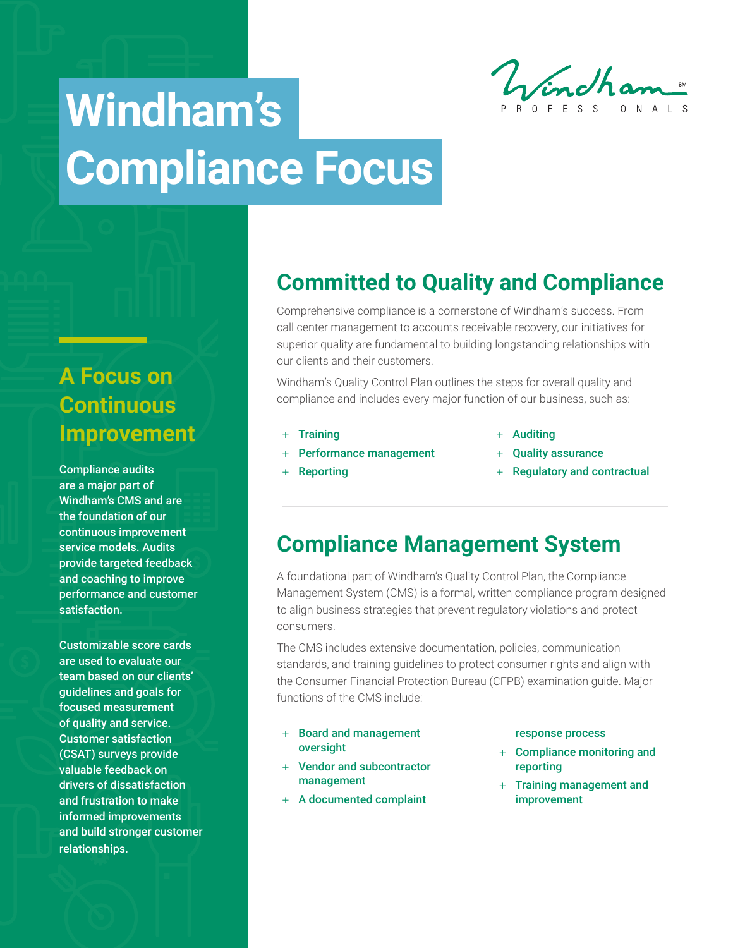Windham

# **Windham's Compliance Focus**

# **A Focus on Continuous Improvement**

Compliance audits are a major part of Windham's CMS and are the foundation of our continuous improvement service models. Audits provide targeted feedback and coaching to improve performance and customer satisfaction.

Customizable score cards are used to evaluate our team based on our clients' guidelines and goals for focused measurement of quality and service. Customer satisfaction (CSAT) surveys provide valuable feedback on drivers of dissatisfaction and frustration to make informed improvements and build stronger customer relationships.

# **Committed to Quality and Compliance**

Comprehensive compliance is a cornerstone of Windham's success. From call center management to accounts receivable recovery, our initiatives for superior quality are fundamental to building longstanding relationships with our clients and their customers.

Windham's Quality Control Plan outlines the steps for overall quality and compliance and includes every major function of our business, such as:

+ Training

+ Reporting

- + Performance management
- + Auditing
- + Quality assurance
- + Regulatory and contractual

## **Compliance Management System**

A foundational part of Windham's Quality Control Plan, the Compliance Management System (CMS) is a formal, written compliance program designed to align business strategies that prevent regulatory violations and protect consumers.

The CMS includes extensive documentation, policies, communication standards, and training guidelines to protect consumer rights and align with the Consumer Financial Protection Bureau (CFPB) examination guide. Major functions of the CMS include:

- + Board and management oversight
- + Vendor and subcontractor management
- + A documented complaint

#### response process

- + Compliance monitoring and reporting
- + Training management and improvement